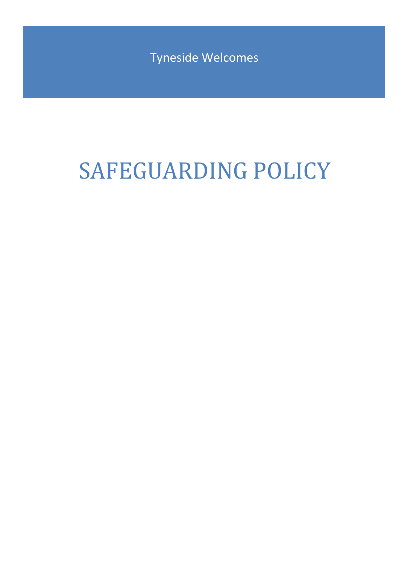Tyneside Welcomes

# SAFEGUARDING POLICY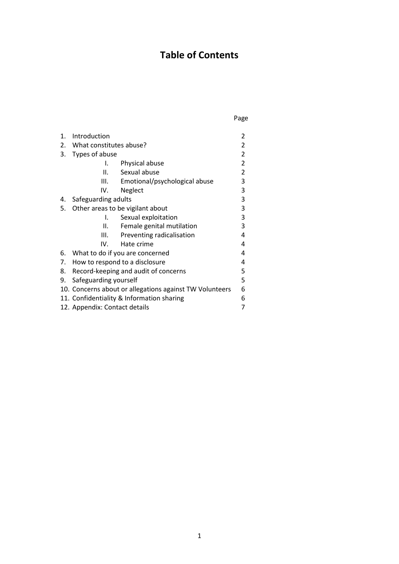# **Table of Contents**

Page

| 1. | Introduction                                            |                               | 2              |
|----|---------------------------------------------------------|-------------------------------|----------------|
| 2. | What constitutes abuse?                                 |                               | $\overline{2}$ |
| 3. | Types of abuse                                          |                               | 2              |
|    | Ι.                                                      | Physical abuse                | $\overline{2}$ |
|    | Н.                                                      | Sexual abuse                  | 2              |
|    | III.                                                    | Emotional/psychological abuse | 3              |
|    | IV.                                                     | Neglect                       | 3              |
| 4. | Safeguarding adults                                     |                               | 3              |
| 5. | Other areas to be vigilant about                        |                               | 3              |
|    | I.                                                      | Sexual exploitation           | 3              |
|    | ΙΙ.                                                     | Female genital mutilation     | 3              |
|    | Ш.                                                      | Preventing radicalisation     | 4              |
|    | IV.                                                     | Hate crime                    | 4              |
| 6. | What to do if you are concerned                         |                               | 4              |
| 7. | How to respond to a disclosure                          |                               | 4              |
| 8. | Record-keeping and audit of concerns                    |                               | 5              |
| 9. | Safeguarding yourself                                   |                               | 5              |
|    | 10. Concerns about or allegations against TW Volunteers |                               | 6              |
|    | 11. Confidentiality & Information sharing               |                               | 6              |
|    | 12. Appendix: Contact details                           |                               |                |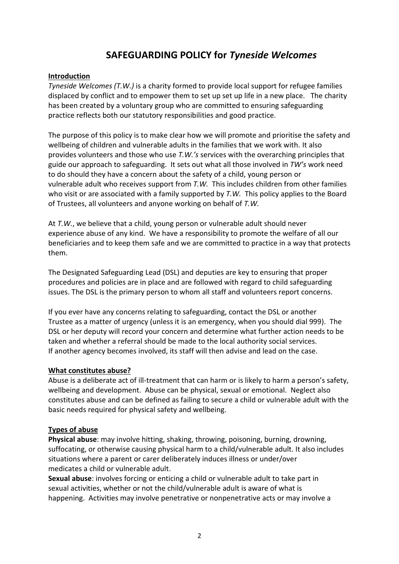# **SAFEGUARDING POLICY for** *Tyneside Welcomes*

#### **Introduction**

*Tyneside Welcomes (T.W.)* is a charity formed to provide local support for refugee families displaced by conflict and to empower them to set up set up life in a new place. The charity has been created by a voluntary group who are committed to ensuring safeguarding practice reflects both our statutory responsibilities and good practice.

The purpose of this policy is to make clear how we will promote and prioritise the safety and wellbeing of children and vulnerable adults in the families that we work with. It also provides volunteers and those who use *T.W.'s* services with the overarching principles that guide our approach to safeguarding. It sets out what all those involved in *TW's* work need to do should they have a concern about the safety of a child, young person or vulnerable adult who receives support from *T.W.*This includes children from other families who visit or are associated with a family supported by *T.W.* This policy applies to the Board of Trustees, all volunteers and anyone working on behalf of *T.W.*

At *T.W.*, we believe that a child, young person or vulnerable adult should never experience abuse of any kind. We have a responsibility to promote the welfare of all our beneficiaries and to keep them safe and we are committed to practice in a way that protects them.

The Designated Safeguarding Lead (DSL) and deputies are key to ensuring that proper procedures and policies are in place and are followed with regard to child safeguarding issues. The DSL is the primary person to whom all staff and volunteers report concerns.

If you ever have any concerns relating to safeguarding, contact the DSL or another Trustee as a matter of urgency (unless it is an emergency, when you should dial 999). The DSL or her deputy will record your concern and determine what further action needs to be taken and whether a referral should be made to the local authority social services. If another agency becomes involved, its staff will then advise and lead on the case.

#### **What constitutes abuse?**

Abuse is a deliberate act of ill-treatment that can harm or is likely to harm a person's safety, wellbeing and development. Abuse can be physical, sexual or emotional. Neglect also constitutes abuse and can be defined as failing to secure a child or vulnerable adult with the basic needs required for physical safety and wellbeing.

#### **Types of abuse**

**Physical abuse**: may involve hitting, shaking, throwing, poisoning, burning, drowning, suffocating, or otherwise causing physical harm to a child/vulnerable adult. It also includes situations where a parent or carer deliberately induces illness or under/over medicates a child or vulnerable adult.

**Sexual abuse**: involves forcing or enticing a child or vulnerable adult to take part in sexual activities, whether or not the child/vulnerable adult is aware of what is happening. Activities may involve penetrative or nonpenetrative acts or may involve a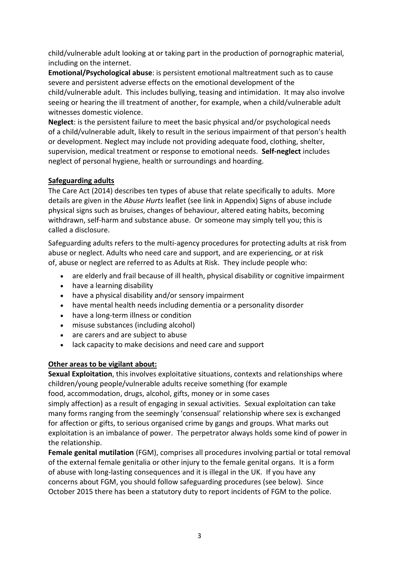child/vulnerable adult looking at or taking part in the production of pornographic material, including on the internet.

**Emotional/Psychological abuse**: is persistent emotional maltreatment such as to cause severe and persistent adverse effects on the emotional development of the child/vulnerable adult. This includes bullying, teasing and intimidation. It may also involve seeing or hearing the ill treatment of another, for example, when a child/vulnerable adult witnesses domestic violence.

**Neglect**: is the persistent failure to meet the basic physical and/or psychological needs of a child/vulnerable adult, likely to result in the serious impairment of that person's health or development. Neglect may include not providing adequate food, clothing, shelter, supervision, medical treatment or response to emotional needs. **Self-neglect** includes neglect of personal hygiene, health or surroundings and hoarding.

## **Safeguarding adults**

The Care Act (2014) describes ten types of abuse that relate specifically to adults. More details are given in the *Abuse Hurts* leaflet (see link in Appendix) Signs of abuse include physical signs such as bruises, changes of behaviour, altered eating habits, becoming withdrawn, self-harm and substance abuse. Or someone may simply tell you; this is called a disclosure.

Safeguarding adults refers to the multi-agency procedures for protecting adults at risk from abuse or neglect. Adults who need care and support, and are experiencing, or at risk of, abuse or neglect are referred to as Adults at Risk. They include people who:

- are elderly and frail because of ill health, physical disability or cognitive impairment
- have a learning disability
- have a physical disability and/or sensory impairment
- have mental health needs including dementia or a personality disorder
- have a long-term illness or condition
- misuse substances (including alcohol)
- are carers and are subject to abuse
- lack capacity to make decisions and need care and support

#### **Other areas to be vigilant about:**

**Sexual Exploitation**, this involves exploitative situations, contexts and relationships where children/young people/vulnerable adults receive something (for example food, accommodation, drugs, alcohol, gifts, money or in some cases simply affection) as a result of engaging in sexual activities. Sexual exploitation can take many forms ranging from the seemingly 'consensual' relationship where sex is exchanged for affection or gifts, to serious organised crime by gangs and groups. What marks out exploitation is an imbalance of power. The perpetrator always holds some kind of power in the relationship.

**Female genital mutilation** (FGM), comprises all procedures involving partial or total removal of the external female genitalia or other injury to the female genital organs. It is a form of abuse with long-lasting consequences and it is illegal in the UK. If you have any concerns about FGM, you should follow safeguarding procedures (see below). Since October 2015 there has been a statutory duty to report incidents of FGM to the police.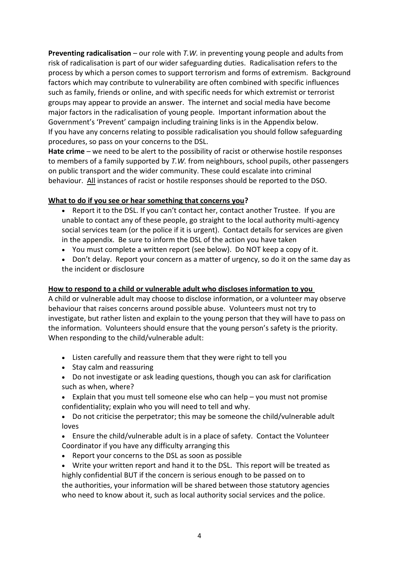**Preventing radicalisation** – our role with *T.W.* in preventing young people and adults from risk of radicalisation is part of our wider safeguarding duties. Radicalisation refers to the process by which a person comes to support terrorism and forms of extremism. Background factors which may contribute to vulnerability are often combined with specific influences such as family, friends or online, and with specific needs for which extremist or terrorist groups may appear to provide an answer. The internet and social media have become major factors in the radicalisation of young people. Important information about the Government's 'Prevent' campaign including training links is in the Appendix below. If you have any concerns relating to possible radicalisation you should follow safeguarding procedures, so pass on your concerns to the DSL.

**Hate crime** – we need to be alert to the possibility of racist or otherwise hostile responses to members of a family supported by *T.W.* from neighbours, school pupils, other passengers on public transport and the wider community. These could escalate into criminal behaviour. All instances of racist or hostile responses should be reported to the DSO.

## **What to do if you see or hear something that concerns you?**

- Report it to the DSL. If you can't contact her, contact another Trustee. If you are unable to contact any of these people, go straight to the local authority multi-agency social services team (or the police if it is urgent). Contact details for services are given in the appendix. Be sure to inform the DSL of the action you have taken
- You must complete a written report (see below). Do NOT keep a copy of it.
- Don't delay. Report your concern as a matter of urgency, so do it on the same day as the incident or disclosure

#### **How to respond to a child or vulnerable adult who discloses information to you**

A child or vulnerable adult may choose to disclose information, or a volunteer may observe behaviour that raises concerns around possible abuse. Volunteers must not try to investigate, but rather listen and explain to the young person that they will have to pass on the information. Volunteers should ensure that the young person's safety is the priority. When responding to the child/vulnerable adult:

- Listen carefully and reassure them that they were right to tell you
- Stay calm and reassuring
- Do not investigate or ask leading questions, though you can ask for clarification such as when, where?
- Explain that you must tell someone else who can help you must not promise confidentiality; explain who you will need to tell and why.
- Do not criticise the perpetrator; this may be someone the child/vulnerable adult loves
- Ensure the child/vulnerable adult is in a place of safety. Contact the Volunteer Coordinator if you have any difficulty arranging this
- Report your concerns to the DSL as soon as possible
- Write your written report and hand it to the DSL. This report will be treated as highly confidential BUT if the concern is serious enough to be passed on to the authorities, your information will be shared between those statutory agencies who need to know about it, such as local authority social services and the police.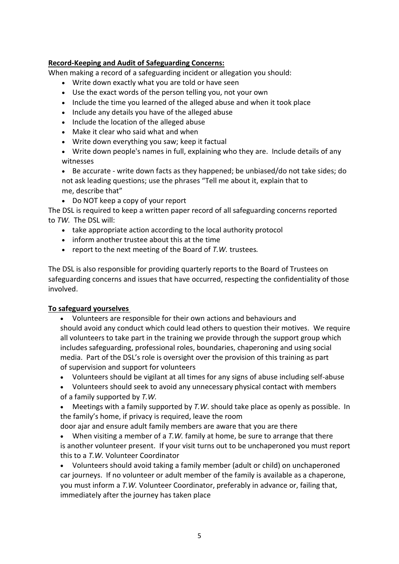#### **Record-Keeping and Audit of Safeguarding Concerns:**

When making a record of a safeguarding incident or allegation you should:

- Write down exactly what you are told or have seen
- Use the exact words of the person telling you, not your own
- Include the time you learned of the alleged abuse and when it took place
- Include any details you have of the alleged abuse
- Include the location of the alleged abuse
- Make it clear who said what and when
- Write down everything you saw; keep it factual
- Write down people's names in full, explaining who they are. Include details of any witnesses
- Be accurate write down facts as they happened; be unbiased/do not take sides; do not ask leading questions; use the phrases "Tell me about it, explain that to me, describe that"
- Do NOT keep a copy of your report

The DSL is required to keep a written paper record of all safeguarding concerns reported to *TW.* The DSL will:

- take appropriate action according to the local authority protocol
- inform another trustee about this at the time
- report to the next meeting of the Board of *T.W.* trustees*.*

The DSL is also responsible for providing quarterly reports to the Board of Trustees on safeguarding concerns and issues that have occurred, respecting the confidentiality of those involved.

#### **To safeguard yourselves**

- Volunteers are responsible for their own actions and behaviours and should avoid any conduct which could lead others to question their motives. We require all volunteers to take part in the training we provide through the support group which includes safeguarding, professional roles, boundaries, chaperoning and using social media. Part of the DSL's role is oversight over the provision of this training as part of supervision and support for volunteers
- Volunteers should be vigilant at all times for any signs of abuse including self-abuse
- Volunteers should seek to avoid any unnecessary physical contact with members of a family supported by *T.W.*
- Meetings with a family supported by *T.W*. should take place as openly as possible. In the family's home, if privacy is required, leave the room

door ajar and ensure adult family members are aware that you are there

• When visiting a member of a *T.W.* family at home, be sure to arrange that there is another volunteer present. If your visit turns out to be unchaperoned you must report this to a *T.W.* Volunteer Coordinator

• Volunteers should avoid taking a family member (adult or child) on unchaperoned car journeys. If no volunteer or adult member of the family is available as a chaperone, you must inform a *T.W.* Volunteer Coordinator, preferably in advance or, failing that, immediately after the journey has taken place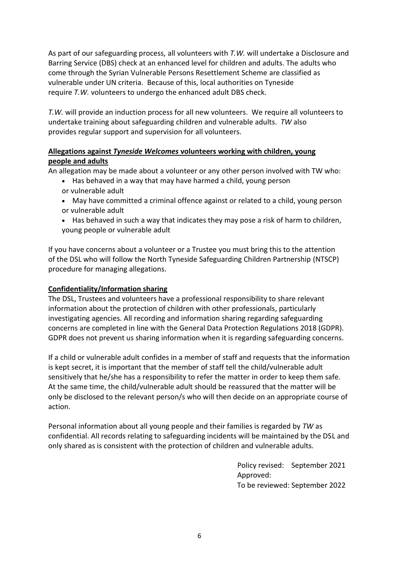As part of our safeguarding process, all volunteers with *T.W.* will undertake a Disclosure and Barring Service (DBS) check at an enhanced level for children and adults. The adults who come through the Syrian Vulnerable Persons Resettlement Scheme are classified as vulnerable under UN criteria. Because of this, local authorities on Tyneside require *T.W.* volunteers to undergo the enhanced adult DBS check.

*T.W.* will provide an induction process for all new volunteers. We require all volunteers to undertake training about safeguarding children and vulnerable adults. *TW* also provides regular support and supervision for all volunteers.

# **Allegations against** *Tyneside Welcomes* **volunteers working with children, young people and adults**

An allegation may be made about a volunteer or any other person involved with TW who:

- Has behaved in a way that may have harmed a child, young person or vulnerable adult
- May have committed a criminal offence against or related to a child, young person or vulnerable adult
- Has behaved in such a way that indicates they may pose a risk of harm to children, young people or vulnerable adult

If you have concerns about a volunteer or a Trustee you must bring this to the attention of the DSL who will follow the North Tyneside Safeguarding Children Partnership (NTSCP) procedure for managing allegations.

# **Confidentiality/Information sharing**

The DSL, Trustees and volunteers have a professional responsibility to share relevant information about the protection of children with other professionals, particularly investigating agencies. All recording and information sharing regarding safeguarding concerns are completed in line with the General Data Protection Regulations 2018 (GDPR). GDPR does not prevent us sharing information when it is regarding safeguarding concerns.

If a child or vulnerable adult confides in a member of staff and requests that the information is kept secret, it is important that the member of staff tell the child/vulnerable adult sensitively that he/she has a responsibility to refer the matter in order to keep them safe. At the same time, the child/vulnerable adult should be reassured that the matter will be only be disclosed to the relevant person/s who will then decide on an appropriate course of action.

Personal information about all young people and their families is regarded by *TW* as confidential. All records relating to safeguarding incidents will be maintained by the DSL and only shared as is consistent with the protection of children and vulnerable adults.

> Policy revised: September 2021 Approved: To be reviewed: September 2022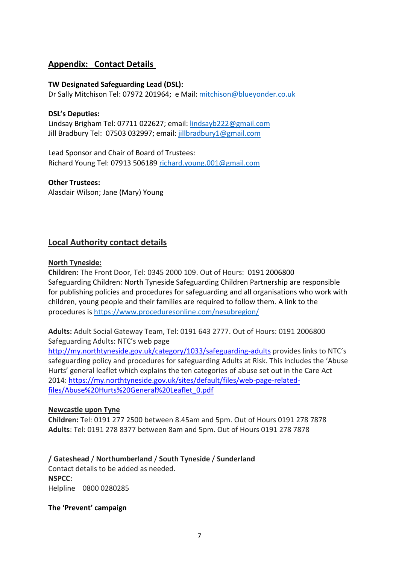# **Appendix: Contact Details**

#### **TW Designated Safeguarding Lead (DSL):**

Dr Sally Mitchison Tel: 07972 201964; e Mail: mitchison@blueyonder.co.uk

#### **DSL's Deputies:**

Lindsay Brigham Tel: 07711 022627; email: lindsayb222@gmail.com Jill Bradbury Tel: 07503 032997; email: jillbradbury1@gmail.com

Lead Sponsor and Chair of Board of Trustees: Richard Young Tel: 07913 506189 richard.young.001@gmail.com

**Other Trustees:** Alasdair Wilson; Jane (Mary) Young

## **Local Authority contact details**

#### **North Tyneside:**

**Children:** The Front Door, Tel: 0345 2000 109. Out of Hours: 0191 2006800 Safeguarding Children: North Tyneside Safeguarding Children Partnership are responsible for publishing policies and procedures for safeguarding and all organisations who work with children, young people and their families are required to follow them. A link to the procedures is https://www.proceduresonline.com/nesubregion/

**Adults:** Adult Social Gateway Team, Tel: 0191 643 2777. Out of Hours: 0191 2006800 Safeguarding Adults: NTC's web page [http://my.northtyneside.gov.uk/category/1033/safeguarding-adults](about:blank) provides links to NTC's

safeguarding policy and procedures for safeguarding Adults at Risk. This includes the 'Abuse Hurts' general leaflet which explains the ten categories of abuse set out in the Care Act 2014: [https://my.northtyneside.gov.uk/sites/default/files/web-page-related](about:blank)[files/Abuse%20Hurts%20General%20Leaflet\\_0.pdf](about:blank)

#### **Newcastle upon Tyne**

**Children:** Tel: 0191 277 2500 between 8.45am and 5pm. Out of Hours 0191 278 7878 **Adults**: Tel: 0191 278 8377 between 8am and 5pm. Out of Hours 0191 278 7878

**/ Gateshead** / **Northumberland** / **South Tyneside** / **Sunderland** Contact details to be added as needed. **NSPCC:** Helpline 0800 0280285

**The 'Prevent' campaign**